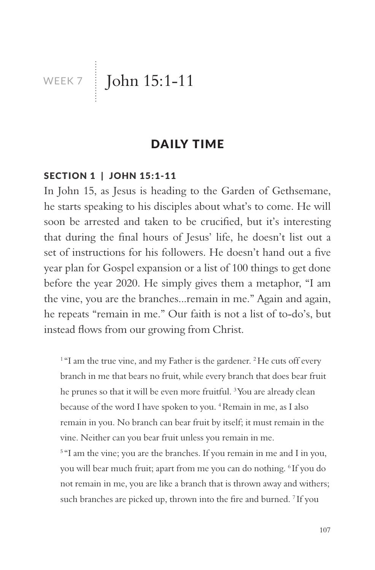WEEK 7 **John 15:1-11** 

### DAILY TIME

#### SECTION 1 | JOHN 15:1-11

In John 15, as Jesus is heading to the Garden of Gethsemane, he starts speaking to his disciples about what's to come. He will soon be arrested and taken to be crucified, but it's interesting that during the final hours of Jesus' life, he doesn't list out a set of instructions for his followers. He doesn't hand out a five year plan for Gospel expansion or a list of 100 things to get done before the year 2020. He simply gives them a metaphor, "I am the vine, you are the branches...remain in me." Again and again, he repeats "remain in me." Our faith is not a list of to-do's, but instead flows from our growing from Christ.

 $1$  "I am the true vine, and my Father is the gardener. <sup>2</sup> He cuts off every branch in me that bears no fruit, while every branch that does bear fruit he prunes so that it will be even more fruitful. <sup>3</sup>You are already clean because of the word I have spoken to you. 4 Remain in me, as I also remain in you. No branch can bear fruit by itself; it must remain in the vine. Neither can you bear fruit unless you remain in me.

5 "I am the vine; you are the branches. If you remain in me and I in you, you will bear much fruit; apart from me you can do nothing. 6 If you do not remain in me, you are like a branch that is thrown away and withers; such branches are picked up, thrown into the fire and burned. 7 If you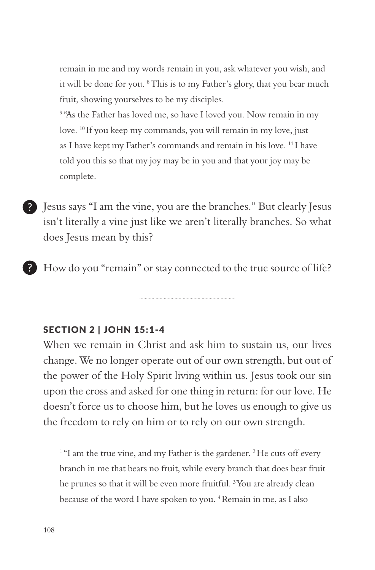remain in me and my words remain in you, ask whatever you wish, and it will be done for you. <sup>8</sup> This is to my Father's glory, that you bear much fruit, showing yourselves to be my disciples.

<sup>9</sup> "As the Father has loved me, so have I loved you. Now remain in my love. 10 If you keep my commands, you will remain in my love, just as I have kept my Father's commands and remain in his love. 11 I have told you this so that my joy may be in you and that your joy may be complete.

Jesus says "I am the vine, you are the branches." But clearly Jesus isn't literally a vine just like we aren't literally branches. So what does Jesus mean by this?

Phow do you "remain" or stay connected to the true source of life?

#### SECTION 2 | JOHN 15:1-4

When we remain in Christ and ask him to sustain us, our lives change. We no longer operate out of our own strength, but out of the power of the Holy Spirit living within us. Jesus took our sin upon the cross and asked for one thing in return: for our love. He doesn't force us to choose him, but he loves us enough to give us the freedom to rely on him or to rely on our own strength.

 $1$  "I am the true vine, and my Father is the gardener.  $2$  He cuts off every branch in me that bears no fruit, while every branch that does bear fruit he prunes so that it will be even more fruitful. <sup>3</sup>You are already clean because of the word I have spoken to you. 4 Remain in me, as I also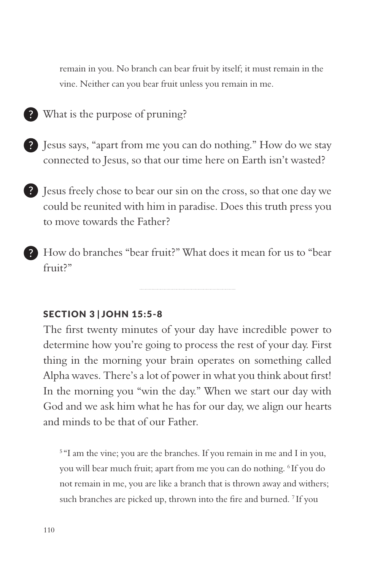remain in you. No branch can bear fruit by itself; it must remain in the vine. Neither can you bear fruit unless you remain in me.

What is the purpose of pruning?



Jesus says, "apart from me you can do nothing." How do we stay connected to Jesus, so that our time here on Earth isn't wasted?

- Jesus freely chose to bear our sin on the cross, so that one day we could be reunited with him in paradise. Does this truth press you to move towards the Father?
- How do branches "bear fruit?" What does it mean for us to "bear fruit?"

### SECTION 3 | JOHN 15:5-8

The first twenty minutes of your day have incredible power to determine how you're going to process the rest of your day. First thing in the morning your brain operates on something called Alpha waves. There's a lot of power in what you think about first! In the morning you "win the day." When we start our day with God and we ask him what he has for our day, we align our hearts and minds to be that of our Father.

5 "I am the vine; you are the branches. If you remain in me and I in you, you will bear much fruit; apart from me you can do nothing. <sup>6</sup> If you do not remain in me, you are like a branch that is thrown away and withers; such branches are picked up, thrown into the fire and burned. <sup>7</sup> If you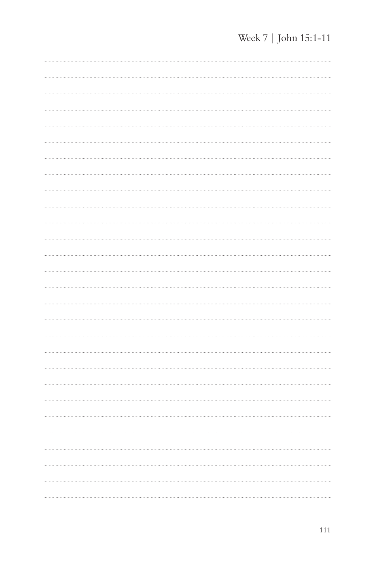| . |  |
|---|--|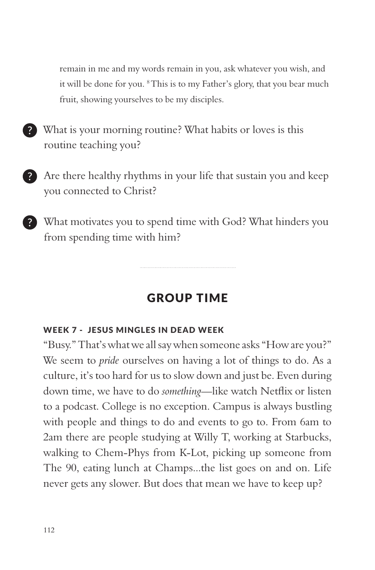remain in me and my words remain in you, ask whatever you wish, and it will be done for you. <sup>8</sup> This is to my Father's glory, that you bear much fruit, showing yourselves to be my disciples.



What is your morning routine? What habits or loves is this routine teaching you?



What motivates you to spend time with God? What hinders you from spending time with him?

## GROUP TIME

#### WEEK 7 - JESUS MINGLES IN DEAD WEEK

"Busy." That's what we all say when someone asks "How are you?" We seem to *pride* ourselves on having a lot of things to do. As a culture, it's too hard for us to slow down and just be. Even during down time, we have to do *something*—like watch Netflix or listen to a podcast. College is no exception. Campus is always bustling with people and things to do and events to go to. From 6am to 2am there are people studying at Willy T, working at Starbucks, walking to Chem-Phys from K-Lot, picking up someone from The 90, eating lunch at Champs...the list goes on and on. Life never gets any slower. But does that mean we have to keep up?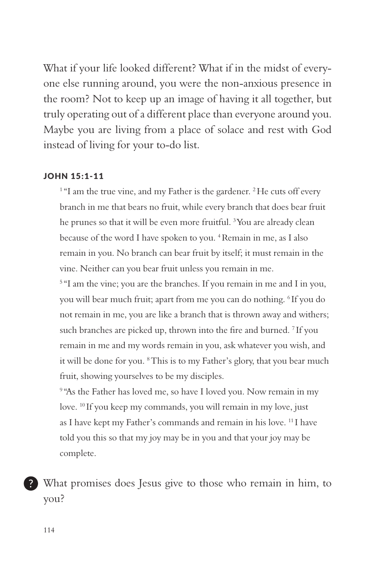What if your life looked different? What if in the midst of everyone else running around, you were the non-anxious presence in the room? Not to keep up an image of having it all together, but truly operating out of a different place than everyone around you. Maybe you are living from a place of solace and rest with God instead of living for your to-do list.

#### JOHN 15:1-11

<sup>1</sup> "I am the true vine, and my Father is the gardener. <sup>2</sup> He cuts off every branch in me that bears no fruit, while every branch that does bear fruit he prunes so that it will be even more fruitful. <sup>3</sup>You are already clean because of the word I have spoken to you.<sup>4</sup> Remain in me, as I also remain in you. No branch can bear fruit by itself; it must remain in the vine. Neither can you bear fruit unless you remain in me.

5 "I am the vine; you are the branches. If you remain in me and I in you, you will bear much fruit; apart from me you can do nothing. 6 If you do not remain in me, you are like a branch that is thrown away and withers; such branches are picked up, thrown into the fire and burned. <sup>7</sup> If you remain in me and my words remain in you, ask whatever you wish, and it will be done for you. 8 This is to my Father's glory, that you bear much fruit, showing yourselves to be my disciples.

<sup>9</sup> "As the Father has loved me, so have I loved you. Now remain in my love. 10 If you keep my commands, you will remain in my love, just as I have kept my Father's commands and remain in his love. 11 I have told you this so that my joy may be in you and that your joy may be complete.

## What promises does Jesus give to those who remain in him, to you?